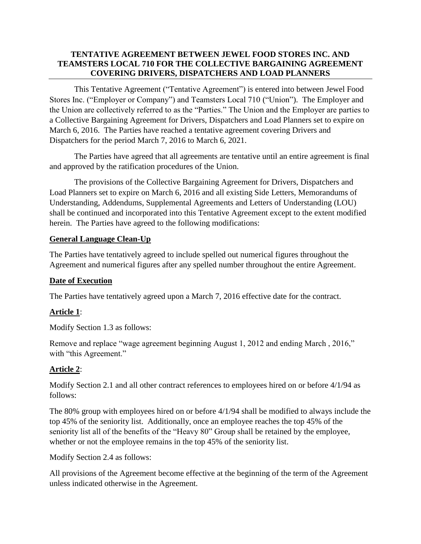## **TENTATIVE AGREEMENT BETWEEN JEWEL FOOD STORES INC. AND TEAMSTERS LOCAL 710 FOR THE COLLECTIVE BARGAINING AGREEMENT COVERING DRIVERS, DISPATCHERS AND LOAD PLANNERS**

This Tentative Agreement ("Tentative Agreement") is entered into between Jewel Food Stores Inc. ("Employer or Company") and Teamsters Local 710 ("Union"). The Employer and the Union are collectively referred to as the "Parties." The Union and the Employer are parties to a Collective Bargaining Agreement for Drivers, Dispatchers and Load Planners set to expire on March 6, 2016. The Parties have reached a tentative agreement covering Drivers and Dispatchers for the period March 7, 2016 to March 6, 2021.

The Parties have agreed that all agreements are tentative until an entire agreement is final and approved by the ratification procedures of the Union.

The provisions of the Collective Bargaining Agreement for Drivers, Dispatchers and Load Planners set to expire on March 6, 2016 and all existing Side Letters, Memorandums of Understanding, Addendums, Supplemental Agreements and Letters of Understanding (LOU) shall be continued and incorporated into this Tentative Agreement except to the extent modified herein. The Parties have agreed to the following modifications:

### **General Language Clean-Up**

The Parties have tentatively agreed to include spelled out numerical figures throughout the Agreement and numerical figures after any spelled number throughout the entire Agreement.

## **Date of Execution**

The Parties have tentatively agreed upon a March 7, 2016 effective date for the contract.

## **Article 1**:

Modify Section 1.3 as follows:

Remove and replace "wage agreement beginning August 1, 2012 and ending March , 2016," with "this Agreement."

## **Article 2**:

Modify Section 2.1 and all other contract references to employees hired on or before 4/1/94 as follows:

The 80% group with employees hired on or before 4/1/94 shall be modified to always include the top 45% of the seniority list. Additionally, once an employee reaches the top 45% of the seniority list all of the benefits of the "Heavy 80" Group shall be retained by the employee, whether or not the employee remains in the top 45% of the seniority list.

Modify Section 2.4 as follows:

All provisions of the Agreement become effective at the beginning of the term of the Agreement unless indicated otherwise in the Agreement.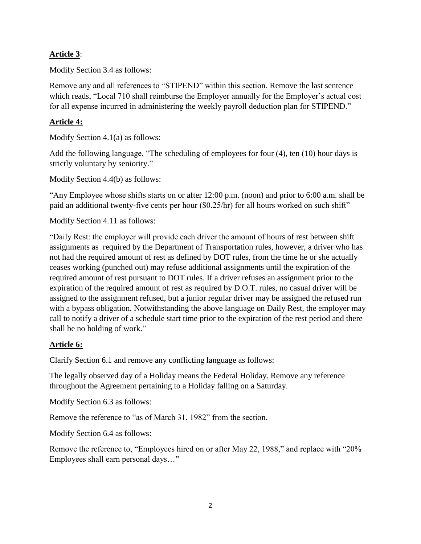## **Article 3**:

Modify Section 3.4 as follows:

Remove any and all references to "STIPEND" within this section. Remove the last sentence which reads, "Local 710 shall reimburse the Employer annually for the Employer's actual cost for all expense incurred in administering the weekly payroll deduction plan for STIPEND."

## **Article 4:**

Modify Section 4.1(a) as follows:

Add the following language, "The scheduling of employees for four (4), ten (10) hour days is strictly voluntary by seniority."

Modify Section 4.4(b) as follows:

"Any Employee whose shifts starts on or after 12:00 p.m. (noon) and prior to 6:00 a.m. shall be paid an additional twenty-five cents per hour (\$0.25/hr) for all hours worked on such shift"

Modify Section 4.11 as follows:

"Daily Rest: the employer will provide each driver the amount of hours of rest between shift assignments as required by the Department of Transportation rules, however, a driver who has not had the required amount of rest as defined by DOT rules, from the time he or she actually ceases working (punched out) may refuse additional assignments until the expiration of the required amount of rest pursuant to DOT rules. If a driver refuses an assignment prior to the expiration of the required amount of rest as required by D.O.T. rules, no casual driver will be assigned to the assignment refused, but a junior regular driver may be assigned the refused run with a bypass obligation. Notwithstanding the above language on Daily Rest, the employer may call to notify a driver of a schedule start time prior to the expiration of the rest period and there shall be no holding of work."

## **Article 6:**

Clarify Section 6.1 and remove any conflicting language as follows:

The legally observed day of a Holiday means the Federal Holiday. Remove any reference throughout the Agreement pertaining to a Holiday falling on a Saturday.

Modify Section 6.3 as follows:

Remove the reference to "as of March 31, 1982" from the section.

Modify Section 6.4 as follows:

Remove the reference to, "Employees hired on or after May 22, 1988," and replace with "20% Employees shall earn personal days…"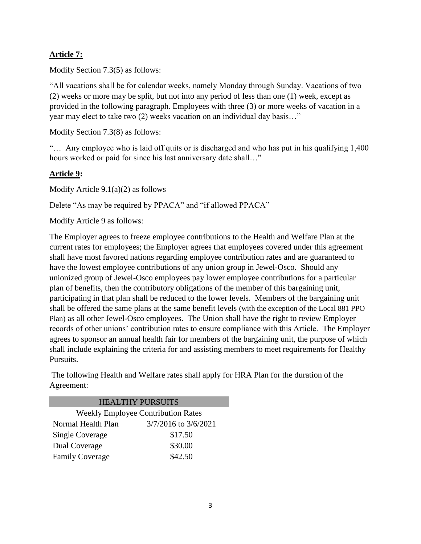# **Article 7:**

Modify Section 7.3(5) as follows:

"All vacations shall be for calendar weeks, namely Monday through Sunday. Vacations of two (2) weeks or more may be split, but not into any period of less than one (1) week, except as provided in the following paragraph. Employees with three (3) or more weeks of vacation in a year may elect to take two (2) weeks vacation on an individual day basis…"

Modify Section 7.3(8) as follows:

"… Any employee who is laid off quits or is discharged and who has put in his qualifying 1,400 hours worked or paid for since his last anniversary date shall..."

# **Article 9:**

Modify Article 9.1(a)(2) as follows

Delete "As may be required by PPACA" and "if allowed PPACA"

Modify Article 9 as follows:

The Employer agrees to freeze employee contributions to the Health and Welfare Plan at the current rates for employees; the Employer agrees that employees covered under this agreement shall have most favored nations regarding employee contribution rates and are guaranteed to have the lowest employee contributions of any union group in Jewel-Osco. Should any unionized group of Jewel-Osco employees pay lower employee contributions for a particular plan of benefits, then the contributory obligations of the member of this bargaining unit, participating in that plan shall be reduced to the lower levels. Members of the bargaining unit shall be offered the same plans at the same benefit levels (with the exception of the Local 881 PPO Plan) as all other Jewel-Osco employees. The Union shall have the right to review Employer records of other unions' contribution rates to ensure compliance with this Article. The Employer agrees to sponsor an annual health fair for members of the bargaining unit, the purpose of which shall include explaining the criteria for and assisting members to meet requirements for Healthy Pursuits.

The following Health and Welfare rates shall apply for HRA Plan for the duration of the Agreement:

| <b>HEALTHY PURSUITS</b>                   |                      |  |  |
|-------------------------------------------|----------------------|--|--|
| <b>Weekly Employee Contribution Rates</b> |                      |  |  |
| Normal Health Plan                        | 3/7/2016 to 3/6/2021 |  |  |
| <b>Single Coverage</b>                    | \$17.50              |  |  |
| Dual Coverage                             | \$30.00              |  |  |
| <b>Family Coverage</b>                    | \$42.50              |  |  |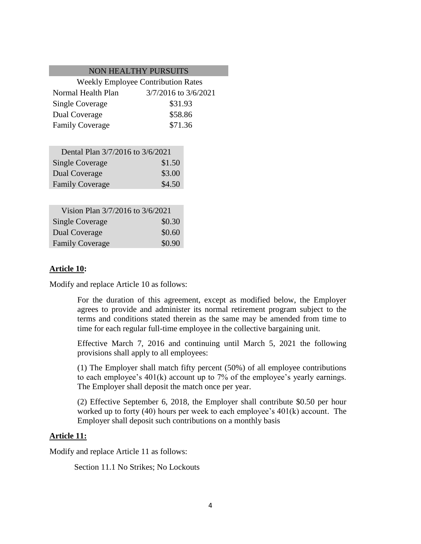#### NON HEALTHY PURSUITS

| <b>Weekly Employee Contribution Rates</b> |                      |  |
|-------------------------------------------|----------------------|--|
| Normal Health Plan                        | 3/7/2016 to 3/6/2021 |  |
| <b>Single Coverage</b>                    | \$31.93              |  |
| Dual Coverage                             | \$58.86              |  |
| <b>Family Coverage</b>                    | \$71.36              |  |

| Dental Plan 3/7/2016 to 3/6/2021 |        |
|----------------------------------|--------|
| <b>Single Coverage</b>           | \$1.50 |
| Dual Coverage                    | \$3.00 |
| <b>Family Coverage</b>           | \$4.50 |

| Vision Plan 3/7/2016 to 3/6/2021 |        |
|----------------------------------|--------|
| <b>Single Coverage</b>           | \$0.30 |
| Dual Coverage                    | \$0.60 |
| <b>Family Coverage</b>           | \$0.90 |

### **Article 10:**

Modify and replace Article 10 as follows:

For the duration of this agreement, except as modified below, the Employer agrees to provide and administer its normal retirement program subject to the terms and conditions stated therein as the same may be amended from time to time for each regular full-time employee in the collective bargaining unit.

Effective March 7, 2016 and continuing until March 5, 2021 the following provisions shall apply to all employees:

(1) The Employer shall match fifty percent (50%) of all employee contributions to each employee's 401(k) account up to 7% of the employee's yearly earnings. The Employer shall deposit the match once per year.

(2) Effective September 6, 2018, the Employer shall contribute \$0.50 per hour worked up to forty (40) hours per week to each employee's 401(k) account. The Employer shall deposit such contributions on a monthly basis

### **Article 11:**

Modify and replace Article 11 as follows:

Section 11.1 No Strikes; No Lockouts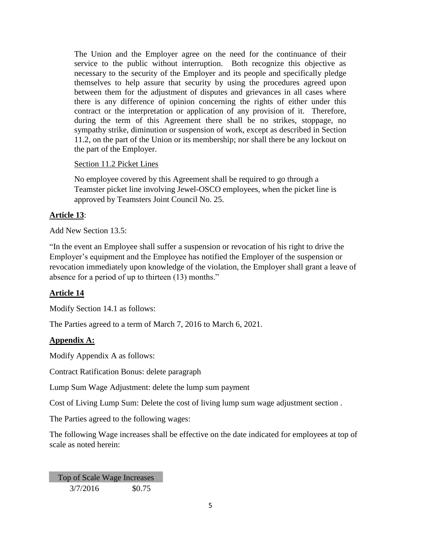The Union and the Employer agree on the need for the continuance of their service to the public without interruption. Both recognize this objective as necessary to the security of the Employer and its people and specifically pledge themselves to help assure that security by using the procedures agreed upon between them for the adjustment of disputes and grievances in all cases where there is any difference of opinion concerning the rights of either under this contract or the interpretation or application of any provision of it. Therefore, during the term of this Agreement there shall be no strikes, stoppage, no sympathy strike, diminution or suspension of work, except as described in Section 11.2, on the part of the Union or its membership; nor shall there be any lockout on the part of the Employer.

### Section 11.2 Picket Lines

No employee covered by this Agreement shall be required to go through a Teamster picket line involving Jewel-OSCO employees, when the picket line is approved by Teamsters Joint Council No. 25.

# **Article 13**:

Add New Section 13.5:

"In the event an Employee shall suffer a suspension or revocation of his right to drive the Employer's equipment and the Employee has notified the Employer of the suspension or revocation immediately upon knowledge of the violation, the Employer shall grant a leave of absence for a period of up to thirteen (13) months."

## **Article 14**

Modify Section 14.1 as follows:

The Parties agreed to a term of March 7, 2016 to March 6, 2021.

## **Appendix A:**

Modify Appendix A as follows:

Contract Ratification Bonus: delete paragraph

Lump Sum Wage Adjustment: delete the lump sum payment

Cost of Living Lump Sum: Delete the cost of living lump sum wage adjustment section .

The Parties agreed to the following wages:

The following Wage increases shall be effective on the date indicated for employees at top of scale as noted herein:

Top of Scale Wage Increases 3/7/2016 \$0.75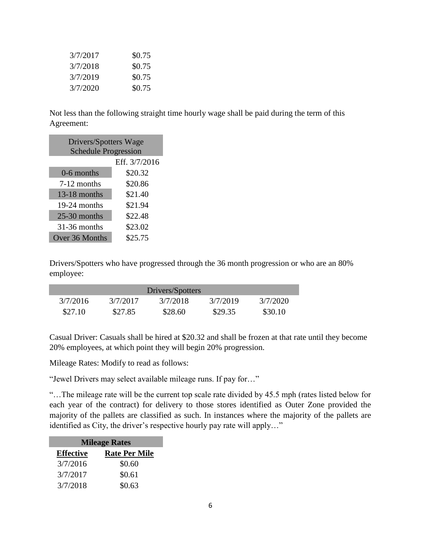| 3/7/2017 | \$0.75 |
|----------|--------|
| 3/7/2018 | \$0.75 |
| 3/7/2019 | \$0.75 |
| 3/7/2020 | \$0.75 |

Not less than the following straight time hourly wage shall be paid during the term of this Agreement:

| Drivers/Spotters Wage<br><b>Schedule Progression</b> |               |  |  |
|------------------------------------------------------|---------------|--|--|
|                                                      | Eff. 3/7/2016 |  |  |
| 0-6 months                                           | \$20.32       |  |  |
| 7-12 months                                          | \$20.86       |  |  |
| $13-18$ months                                       | \$21.40       |  |  |
| 19-24 months                                         | \$21.94       |  |  |
| $25-30$ months                                       | \$22.48       |  |  |
| 31-36 months                                         | \$23.02       |  |  |
| Over 36 Months                                       | \$25.75       |  |  |

Drivers/Spotters who have progressed through the 36 month progression or who are an 80% employee:

| Drivers/Spotters |          |          |          |          |
|------------------|----------|----------|----------|----------|
| 3/7/2016         | 3/7/2017 | 3/7/2018 | 3/7/2019 | 3/7/2020 |
| \$27.10          | \$27.85  | \$28.60  | \$29.35  | \$30.10  |

Casual Driver: Casuals shall be hired at \$20.32 and shall be frozen at that rate until they become 20% employees, at which point they will begin 20% progression.

Mileage Rates: Modify to read as follows:

"Jewel Drivers may select available mileage runs. If pay for…"

"…The mileage rate will be the current top scale rate divided by 45.5 mph (rates listed below for each year of the contract) for delivery to those stores identified as Outer Zone provided the majority of the pallets are classified as such. In instances where the majority of the pallets are identified as City, the driver's respective hourly pay rate will apply…"

| <b>Mileage Rates</b> |                      |  |  |
|----------------------|----------------------|--|--|
| <b>Effective</b>     | <b>Rate Per Mile</b> |  |  |
| 3/7/2016             | \$0.60               |  |  |
| 3/7/2017             | \$0.61               |  |  |
| 3/7/2018             | \$0.63               |  |  |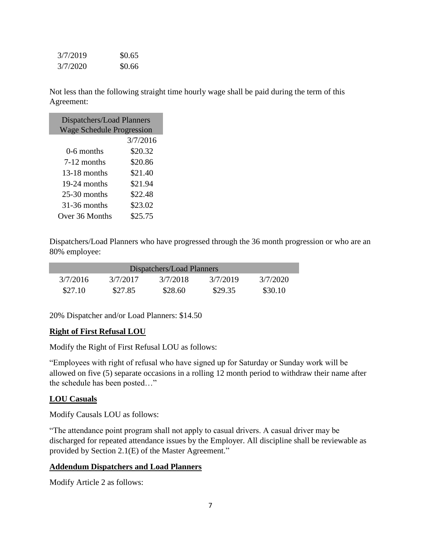| 3/7/2019 | \$0.65 |
|----------|--------|
| 3/7/2020 | \$0.66 |

Not less than the following straight time hourly wage shall be paid during the term of this Agreement:

| Dispatchers/Load Planners<br><b>Wage Schedule Progression</b> |          |  |  |
|---------------------------------------------------------------|----------|--|--|
|                                                               | 3/7/2016 |  |  |
| 0-6 months                                                    | \$20.32  |  |  |
| 7-12 months                                                   | \$20.86  |  |  |
| $13-18$ months                                                | \$21.40  |  |  |
| 19-24 months                                                  | \$21.94  |  |  |
| $25-30$ months                                                | \$22.48  |  |  |
| $31-36$ months                                                | \$23.02  |  |  |
| Over 36 Months                                                | \$25.75  |  |  |

Dispatchers/Load Planners who have progressed through the 36 month progression or who are an 80% employee:

| Dispatchers/Load Planners |          |          |          |          |
|---------------------------|----------|----------|----------|----------|
| 3/7/2016                  | 3/7/2017 | 3/7/2018 | 3/7/2019 | 3/7/2020 |
| \$27.10                   | \$27.85  | \$28.60  | \$29.35  | \$30.10  |

20% Dispatcher and/or Load Planners: \$14.50

### **Right of First Refusal LOU**

Modify the Right of First Refusal LOU as follows:

"Employees with right of refusal who have signed up for Saturday or Sunday work will be allowed on five (5) separate occasions in a rolling 12 month period to withdraw their name after the schedule has been posted…"

## **LOU Casuals**

Modify Causals LOU as follows:

"The attendance point program shall not apply to casual drivers. A casual driver may be discharged for repeated attendance issues by the Employer. All discipline shall be reviewable as provided by Section 2.1(E) of the Master Agreement."

## **Addendum Dispatchers and Load Planners**

Modify Article 2 as follows: